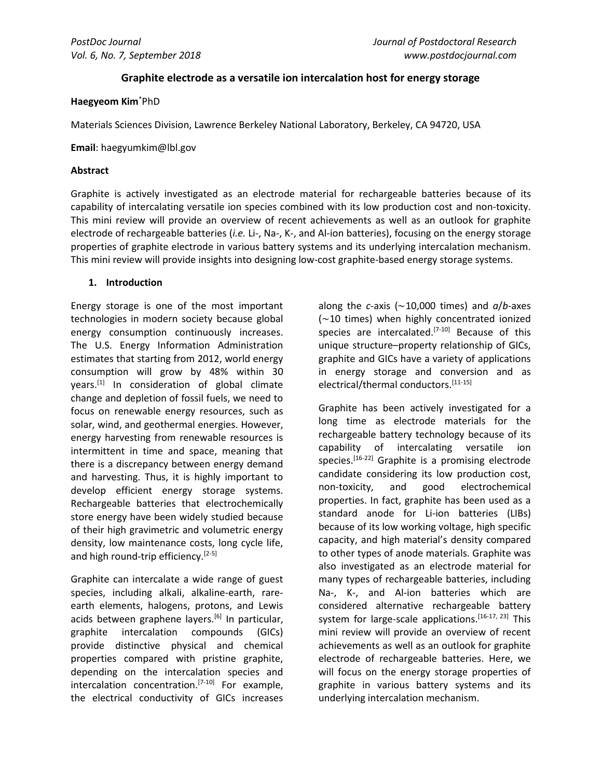# **Graphite electrode as a versatile ion intercalation host for energy storage**

### **Haegyeom Kim**\*PhD

Materials Sciences Division, Lawrence Berkeley National Laboratory, Berkeley, CA 94720, USA

**Email**: haegyumkim@lbl.gov

### **Abstract**

Graphite is actively investigated as an electrode material for rechargeable batteries because of its capability of intercalating versatile ion species combined with its low production cost and non-toxicity. This mini review will provide an overview of recent achievements as well as an outlook for graphite electrode of rechargeable batteries (*i.e.* Li-, Na-, K-, and Al-ion batteries), focusing on the energy storage properties of graphite electrode in various battery systems and its underlying intercalation mechanism. This mini review will provide insights into designing low-cost graphite-based energy storage systems.

# **1. Introduction**

Energy storage is one of the most important technologies in modern society because global energy consumption continuously increases. The U.S. Energy Information Administration estimates that starting from 2012, world energy consumption will grow by 48% within 30 years. [1] In consideration of global climate change and depletion of fossil fuels, we need to focus on renewable energy resources, such as solar, wind, and geothermal energies. However, energy harvesting from renewable resources is intermittent in time and space, meaning that there is a discrepancy between energy demand and harvesting. Thus, it is highly important to develop efficient energy storage systems. Rechargeable batteries that electrochemically store energy have been widely studied because of their high gravimetric and volumetric energy density, low maintenance costs, long cycle life, and high round-trip efficiency.<sup>[2-5]</sup>

Graphite can intercalate a wide range of guest species, including alkali, alkaline-earth, rareearth elements, halogens, protons, and Lewis acids between graphene layers.<sup>[6]</sup> In particular, graphite intercalation compounds (GICs) provide distinctive physical and chemical properties compared with pristine graphite, depending on the intercalation species and intercalation concentration.[7-10] For example, the electrical conductivity of GICs increases

along the *c*-axis (∼10,000 times) and *a*/*b*-axes (∼10 times) when highly concentrated ionized species are intercalated.<sup>[7-10]</sup> Because of this unique structure–property relationship of GICs, graphite and GICs have a variety of applications in energy storage and conversion and as electrical/thermal conductors.[11-15]

Graphite has been actively investigated for a long time as electrode materials for the rechargeable battery technology because of its capability of intercalating versatile ion species.<sup>[16-22]</sup> Graphite is a promising electrode candidate considering its low production cost, non-toxicity, and good electrochemical properties. In fact, graphite has been used as a standard anode for Li-ion batteries (LIBs) because of its low working voltage, high specific capacity, and high material's density compared to other types of anode materials. Graphite was also investigated as an electrode material for many types of rechargeable batteries, including Na-, K-, and Al-ion batteries which are considered alternative rechargeable battery system for large-scale applications.<sup>[16-17, 23]</sup> This mini review will provide an overview of recent achievements as well as an outlook for graphite electrode of rechargeable batteries. Here, we will focus on the energy storage properties of graphite in various battery systems and its underlying intercalation mechanism.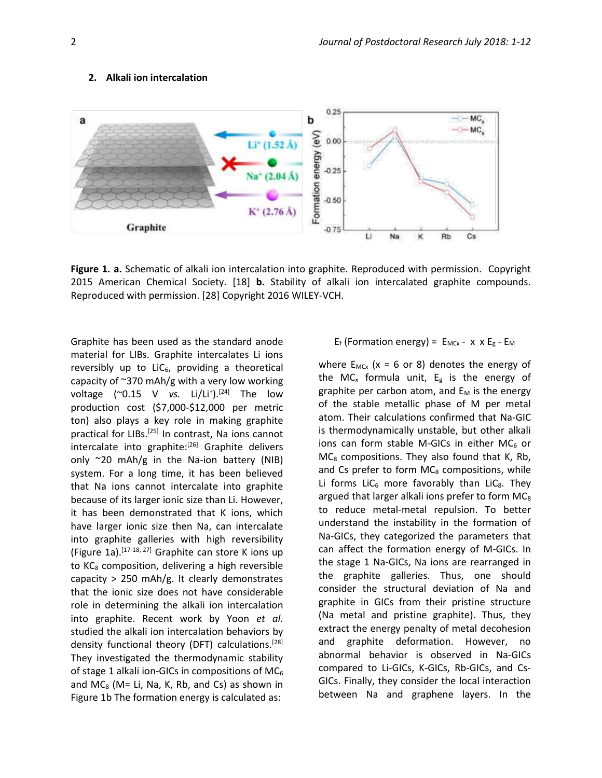#### **2. Alkali ion intercalation**



**Figure 1. a.** Schematic of alkali ion intercalation into graphite. Reproduced with permission. Copyright 2015 American Chemical Society. [18] **b.** Stability of alkali ion intercalated graphite compounds. Reproduced with permission. [28] Copyright 2016 WILEY-VCH.

Graphite has been used as the standard anode material for LIBs. Graphite intercalates Li ions reversibly up to  $LiC<sub>6</sub>$ , providing a theoretical capacity of  $\approx$ 370 mAh/g with a very low working voltage (~0.15 V *vs.* Li/Li<sup>+</sup>).<sup>[24]</sup> The low production cost (\$7,000-\$12,000 per metric ton) also plays a key role in making graphite practical for LIBs.<sup>[25]</sup> In contrast, Na ions cannot intercalate into graphite: [26] Graphite delivers only ~20 mAh/g in the Na-ion battery (NIB) system. For a long time, it has been believed that Na ions cannot intercalate into graphite because of its larger ionic size than Li. However, it has been demonstrated that K ions, which have larger ionic size then Na, can intercalate into graphite galleries with high reversibility (Figure 1a). [17-18, 27] Graphite can store K ions up to  $KC<sub>8</sub>$  composition, delivering a high reversible capacity > 250 mAh/g. It clearly demonstrates that the ionic size does not have considerable role in determining the alkali ion intercalation into graphite. Recent work by Yoon *et al.* studied the alkali ion intercalation behaviors by density functional theory (DFT) calculations.<sup>[28]</sup> They investigated the thermodynamic stability of stage 1 alkali ion-GICs in compositions of  $MC_6$ and MC $_8$  (M= Li, Na, K, Rb, and Cs) as shown in Figure 1b The formation energy is calculated as:

$$
E_f
$$
 (Formation energy) =  $E_{MCx}$  - x x  $E_g$  -  $E_M$ 

where  $E_{MCx}$  (x = 6 or 8) denotes the energy of the MC<sub>x</sub> formula unit,  $E_g$  is the energy of graphite per carbon atom, and  $E_M$  is the energy of the stable metallic phase of M per metal atom. Their calculations confirmed that Na-GIC is thermodynamically unstable, but other alkali ions can form stable M-GICs in either  $MC_6$  or  $MC<sub>8</sub>$  compositions. They also found that K, Rb, and Cs prefer to form  $MC_8$  compositions, while Li forms LiC $_6$  more favorably than LiC<sub>8</sub>. They argued that larger alkali ions prefer to form  $MC_8$ to reduce metal-metal repulsion. To better understand the instability in the formation of Na-GICs, they categorized the parameters that can affect the formation energy of M-GICs. In the stage 1 Na-GICs, Na ions are rearranged in the graphite galleries. Thus, one should consider the structural deviation of Na and graphite in GICs from their pristine structure (Na metal and pristine graphite). Thus, they extract the energy penalty of metal decohesion and graphite deformation. However, no abnormal behavior is observed in Na-GICs compared to Li-GICs, K-GICs, Rb-GICs, and Cs-GICs. Finally, they consider the local interaction between Na and graphene layers. In the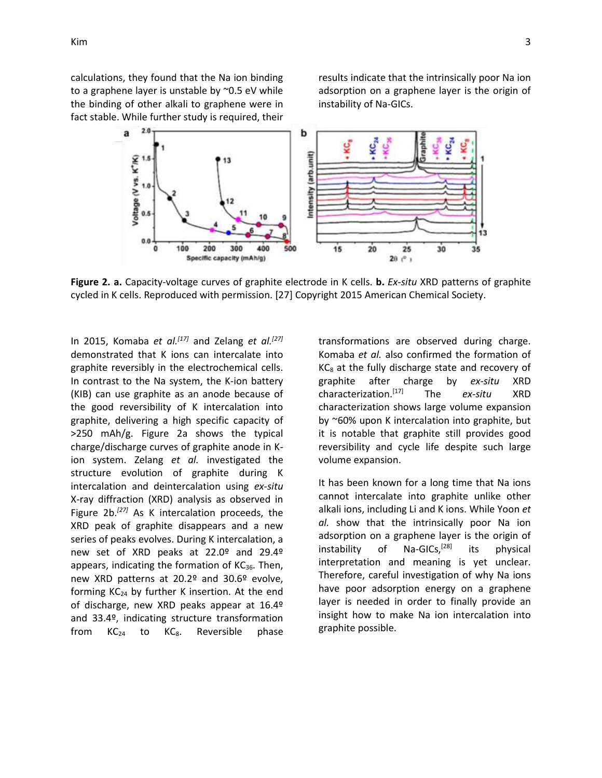calculations, they found that the Na ion binding to a graphene layer is unstable by ~0.5 eV while the binding of other alkali to graphene were in fact stable. While further study is required, their results indicate that the intrinsically poor Na ion adsorption on a graphene layer is the origin of instability of Na-GICs.



**Figure 2. a.** Capacity-voltage curves of graphite electrode in K cells. **b.** *Ex-situ* XRD patterns of graphite cycled in K cells. Reproduced with permission. [27] Copyright 2015 American Chemical Society.

In 2015, Komaba *et al.[17]* and Zelang *et al.[27]* demonstrated that K ions can intercalate into graphite reversibly in the electrochemical cells. In contrast to the Na system, the K-ion battery (KIB) can use graphite as an anode because of the good reversibility of K intercalation into graphite, delivering a high specific capacity of >250 mAh/g. Figure 2a shows the typical charge/discharge curves of graphite anode in Kion system. Zelang *et al.* investigated the structure evolution of graphite during K intercalation and deintercalation using *ex-situ* X-ray diffraction (XRD) analysis as observed in Figure 2b.*[27]* As K intercalation proceeds, the XRD peak of graphite disappears and a new series of peaks evolves. During K intercalation, a new set of XRD peaks at 22.0º and 29.4º appears, indicating the formation of  $KC_{36}$ . Then, new XRD patterns at 20.2º and 30.6º evolve, forming KC<sup>24</sup> by further K insertion. At the end of discharge, new XRD peaks appear at 16.4º and 33.4º, indicating structure transformation from  $KC_{24}$  to  $KC_8$ . Reversible phase

transformations are observed during charge. Komaba *et al.* also confirmed the formation of  $KC<sub>8</sub>$  at the fully discharge state and recovery of graphite after charge by *ex-situ* XRD characterization.[17] The *ex-situ* XRD characterization shows large volume expansion by ~60% upon K intercalation into graphite, but it is notable that graphite still provides good reversibility and cycle life despite such large volume expansion.

It has been known for a long time that Na ions cannot intercalate into graphite unlike other alkali ions, including Li and K ions. While Yoon *et al.* show that the intrinsically poor Na ion adsorption on a graphene layer is the origin of instability of Na-GICs,<sup>[28]</sup> its physical interpretation and meaning is yet unclear. Therefore, careful investigation of why Na ions have poor adsorption energy on a graphene layer is needed in order to finally provide an insight how to make Na ion intercalation into graphite possible.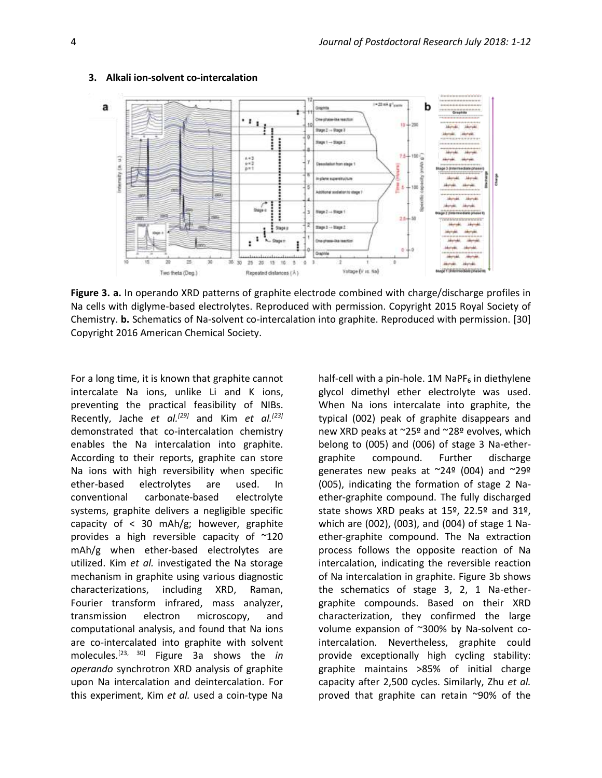

#### **3. Alkali ion-solvent co-intercalation**

**Figure 3. a.** In operando XRD patterns of graphite electrode combined with charge/discharge profiles in Na cells with diglyme-based electrolytes. Reproduced with permission. Copyright 2015 Royal Society of Chemistry. **b.** Schematics of Na-solvent co-intercalation into graphite. Reproduced with permission. [30] Copyright 2016 American Chemical Society.

For a long time, it is known that graphite cannot intercalate Na ions, unlike Li and K ions, preventing the practical feasibility of NIBs. Recently, Jache *et al.[29]* and Kim *et al.[23]* demonstrated that co-intercalation chemistry enables the Na intercalation into graphite. According to their reports, graphite can store Na ions with high reversibility when specific ether-based electrolytes are used. In conventional carbonate-based electrolyte systems, graphite delivers a negligible specific capacity of < 30 mAh/g; however, graphite provides a high reversible capacity of ~120 mAh/g when ether-based electrolytes are utilized. Kim *et al.* investigated the Na storage mechanism in graphite using various diagnostic characterizations, including XRD, Raman, Fourier transform infrared, mass analyzer, transmission electron microscopy, and computational analysis, and found that Na ions are co-intercalated into graphite with solvent molecules.[23, 30] Figure 3a shows the *in operando* synchrotron XRD analysis of graphite upon Na intercalation and deintercalation. For this experiment, Kim *et al.* used a coin-type Na

half-cell with a pin-hole.  $1M$  NaPF<sub>6</sub> in diethylene glycol dimethyl ether electrolyte was used. When Na ions intercalate into graphite, the typical (002) peak of graphite disappears and new XRD peaks at ~25º and ~28º evolves, which belong to (005) and (006) of stage 3 Na-ethergraphite compound. Further discharge generates new peaks at ~24º (004) and ~29º (005), indicating the formation of stage 2 Naether-graphite compound. The fully discharged state shows XRD peaks at 15º, 22.5º and 31º, which are (002), (003), and (004) of stage 1 Naether-graphite compound. The Na extraction process follows the opposite reaction of Na intercalation, indicating the reversible reaction of Na intercalation in graphite. Figure 3b shows the schematics of stage 3, 2, 1 Na-ethergraphite compounds. Based on their XRD characterization, they confirmed the large volume expansion of ~300% by Na-solvent cointercalation. Nevertheless, graphite could provide exceptionally high cycling stability: graphite maintains >85% of initial charge capacity after 2,500 cycles. Similarly, Zhu *et al.* proved that graphite can retain ~90% of the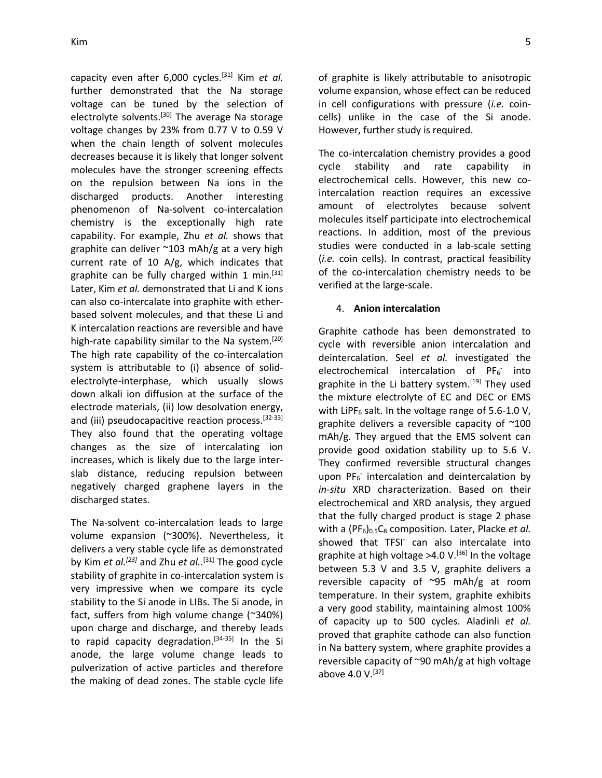capacity even after 6,000 cycles.[31] Kim *et al.* further demonstrated that the Na storage voltage can be tuned by the selection of electrolyte solvents.<sup>[30]</sup> The average Na storage voltage changes by 23% from 0.77 V to 0.59 V when the chain length of solvent molecules decreases because it is likely that longer solvent molecules have the stronger screening effects on the repulsion between Na ions in the discharged products. Another interesting phenomenon of Na-solvent co-intercalation chemistry is the exceptionally high rate capability. For example, Zhu *et al.* shows that graphite can deliver ~103 mAh/g at a very high current rate of 10 A/g, which indicates that graphite can be fully charged within 1 min.<sup>[31]</sup> Later, Kim *et al.* demonstrated that Li and K ions can also co-intercalate into graphite with etherbased solvent molecules, and that these Li and K intercalation reactions are reversible and have high-rate capability similar to the Na system.<sup>[20]</sup> The high rate capability of the co-intercalation system is attributable to (i) absence of solidelectrolyte-interphase, which usually slows down alkali ion diffusion at the surface of the electrode materials, (ii) low desolvation energy, and (iii) pseudocapacitive reaction process.<sup>[32-33]</sup> They also found that the operating voltage changes as the size of intercalating ion increases, which is likely due to the large interslab distance, reducing repulsion between negatively charged graphene layers in the discharged states.

The Na-solvent co-intercalation leads to large volume expansion (~300%). Nevertheless, it delivers a very stable cycle life as demonstrated by Kim *et al.[23]* and Zhu *et al.*. [31] The good cycle stability of graphite in co-intercalation system is very impressive when we compare its cycle stability to the Si anode in LIBs. The Si anode, in fact, suffers from high volume change (~340%) upon charge and discharge, and thereby leads to rapid capacity degradation.<sup>[34-35]</sup> In the Si anode, the large volume change leads to pulverization of active particles and therefore the making of dead zones. The stable cycle life

of graphite is likely attributable to anisotropic volume expansion, whose effect can be reduced in cell configurations with pressure (*i.e.* coincells) unlike in the case of the Si anode. However, further study is required.

The co-intercalation chemistry provides a good cycle stability and rate capability in electrochemical cells. However, this new cointercalation reaction requires an excessive amount of electrolytes because solvent molecules itself participate into electrochemical reactions. In addition, most of the previous studies were conducted in a lab-scale setting (*i.e.* coin cells). In contrast, practical feasibility of the co-intercalation chemistry needs to be verified at the large-scale.

### 4. **Anion intercalation**

Graphite cathode has been demonstrated to cycle with reversible anion intercalation and deintercalation. Seel *et al.* investigated the electrochemical intercalation of  $PF_6$  into graphite in the Li battery system.<sup>[19]</sup> They used the mixture electrolyte of EC and DEC or EMS with LiPF $_6$  salt. In the voltage range of 5.6-1.0 V, graphite delivers a reversible capacity of  $\sim$ 100 mAh/g. They argued that the EMS solvent can provide good oxidation stability up to 5.6 V. They confirmed reversible structural changes upon PF<sub>6</sub> intercalation and deintercalation by *in-situ* XRD characterization. Based on their electrochemical and XRD analysis, they argued that the fully charged product is stage 2 phase with a (PF<sub>6</sub>)<sub>0.5</sub>C<sub>8</sub> composition. Later, Placke *et al.* showed that TFSI<sup>-</sup> can also intercalate into graphite at high voltage  $>4.0$  V.<sup>[36]</sup> In the voltage between 5.3 V and 3.5 V, graphite delivers a reversible capacity of ~95 mAh/g at room temperature. In their system, graphite exhibits a very good stability, maintaining almost 100% of capacity up to 500 cycles. Aladinli *et al.* proved that graphite cathode can also function in Na battery system, where graphite provides a reversible capacity of  $\sim$ 90 mAh/g at high voltage above 4.0 V. $^{[37]}$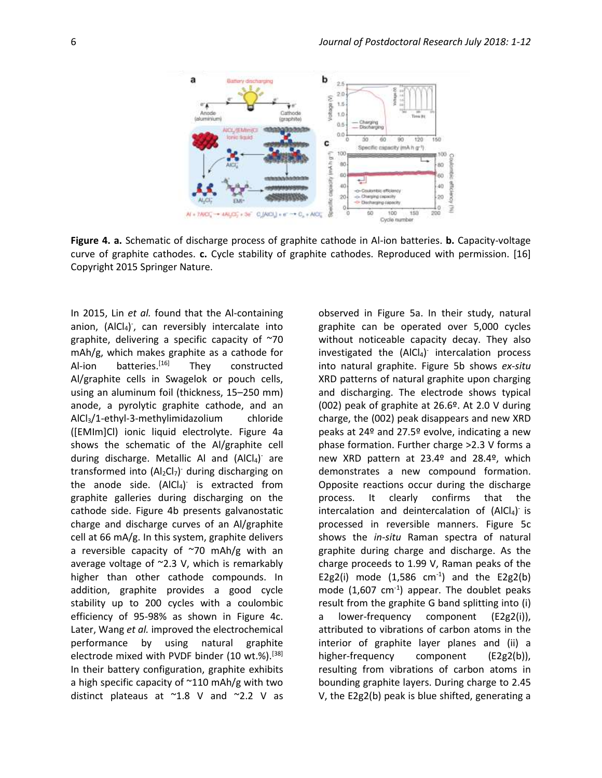

**Figure 4. a.** Schematic of discharge process of graphite cathode in Al-ion batteries. **b.** Capacity-voltage curve of graphite cathodes. **c.** Cycle stability of graphite cathodes. Reproduced with permission. [16] Copyright 2015 Springer Nature.

In 2015, Lin *et al.* found that the Al-containing anion, (AlCl<sub>4</sub>), can reversibly intercalate into graphite, delivering a specific capacity of ~70 mAh/g, which makes graphite as a cathode for Al-ion batteries.<sup>[16]</sup> They constructed Al/graphite cells in Swagelok or pouch cells, using an aluminum foil (thickness, 15–250 mm) anode, a pyrolytic graphite cathode, and an AlCl3/1-ethyl-3-methylimidazolium chloride ([EMIm]Cl) ionic liquid electrolyte. Figure 4a shows the schematic of the Al/graphite cell during discharge. Metallic Al and (AlCl4) are transformed into  $(Al_2Cl_7)$  during discharging on the anode side.  $(A|Cl<sub>4</sub>)$  is extracted from graphite galleries during discharging on the cathode side. Figure 4b presents galvanostatic charge and discharge curves of an Al/graphite cell at 66 mA/g. In this system, graphite delivers a reversible capacity of  $\sim$ 70 mAh/g with an average voltage of ~2.3 V, which is remarkably higher than other cathode compounds. In addition, graphite provides a good cycle stability up to 200 cycles with a coulombic efficiency of 95-98% as shown in Figure 4c. Later, Wang *et al.* improved the electrochemical performance by using natural graphite electrode mixed with PVDF binder  $(10 \text{ wt.}\%)$ .<sup>[38]</sup> In their battery configuration, graphite exhibits a high specific capacity of  $\sim$ 110 mAh/g with two distinct plateaus at ~1.8 V and ~2.2 V as

observed in Figure 5a. In their study, natural graphite can be operated over 5,000 cycles without noticeable capacity decay. They also investigated the (AICl4) intercalation process into natural graphite. Figure 5b shows *ex-situ* XRD patterns of natural graphite upon charging and discharging. The electrode shows typical (002) peak of graphite at 26.6º. At 2.0 V during charge, the (002) peak disappears and new XRD peaks at 24º and 27.5º evolve, indicating a new phase formation. Further charge >2.3 V forms a new XRD pattern at 23.4º and 28.4º, which demonstrates a new compound formation. Opposite reactions occur during the discharge process. It clearly confirms that the  $intercalation$  and deintercalation of  $(A|Cl<sub>4</sub>)$  is processed in reversible manners. Figure 5c shows the *in-situ* Raman spectra of natural graphite during charge and discharge. As the charge proceeds to 1.99 V, Raman peaks of the E2g2(i) mode  $(1,586 \text{ cm}^{-1})$  and the E2g2(b) mode  $(1,607 \text{ cm}^{-1})$  appear. The doublet peaks result from the graphite G band splitting into (i) a lower-frequency component (E2g2(i)), attributed to vibrations of carbon atoms in the interior of graphite layer planes and (ii) a higher-frequency component (E2g2(b)), resulting from vibrations of carbon atoms in bounding graphite layers. During charge to 2.45 V, the E2g2(b) peak is blue shifted, generating a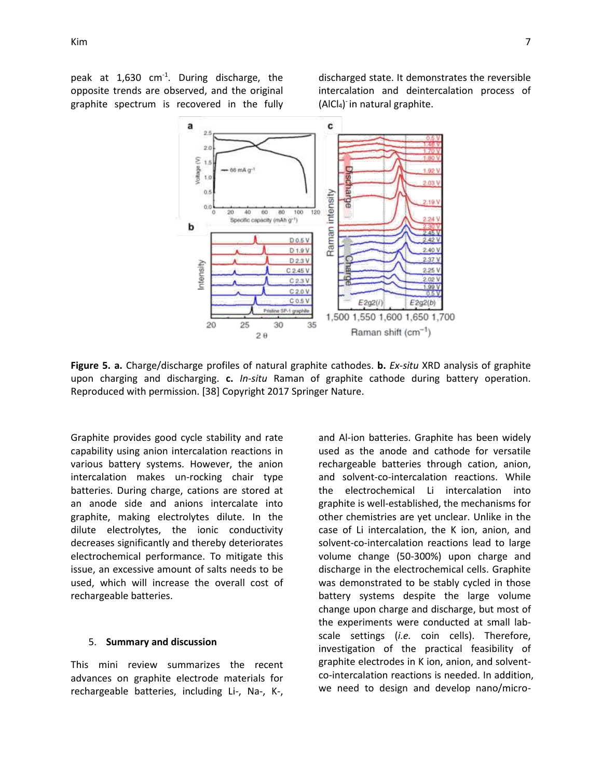peak at 1,630 cm<sup>-1</sup>. During discharge, the opposite trends are observed, and the original graphite spectrum is recovered in the fully

discharged state. It demonstrates the reversible intercalation and deintercalation process of (AlCl<sub>4</sub>) in natural graphite.



**Figure 5. a.** Charge/discharge profiles of natural graphite cathodes. **b.** *Ex-situ* XRD analysis of graphite upon charging and discharging. **c.** *In-situ* Raman of graphite cathode during battery operation. Reproduced with permission. [38] Copyright 2017 Springer Nature.

Graphite provides good cycle stability and rate capability using anion intercalation reactions in various battery systems. However, the anion intercalation makes un-rocking chair type batteries. During charge, cations are stored at an anode side and anions intercalate into graphite, making electrolytes dilute. In the dilute electrolytes, the ionic conductivity decreases significantly and thereby deteriorates electrochemical performance. To mitigate this issue, an excessive amount of salts needs to be used, which will increase the overall cost of rechargeable batteries.

### 5. **Summary and discussion**

This mini review summarizes the recent advances on graphite electrode materials for rechargeable batteries, including Li-, Na-, K-, and Al-ion batteries. Graphite has been widely used as the anode and cathode for versatile rechargeable batteries through cation, anion, and solvent-co-intercalation reactions. While the electrochemical Li intercalation into graphite is well-established, the mechanisms for other chemistries are yet unclear. Unlike in the case of Li intercalation, the K ion, anion, and solvent-co-intercalation reactions lead to large volume change (50-300%) upon charge and discharge in the electrochemical cells. Graphite was demonstrated to be stably cycled in those battery systems despite the large volume change upon charge and discharge, but most of the experiments were conducted at small labscale settings (*i.e.* coin cells). Therefore, investigation of the practical feasibility of graphite electrodes in K ion, anion, and solventco-intercalation reactions is needed. In addition, we need to design and develop nano/micro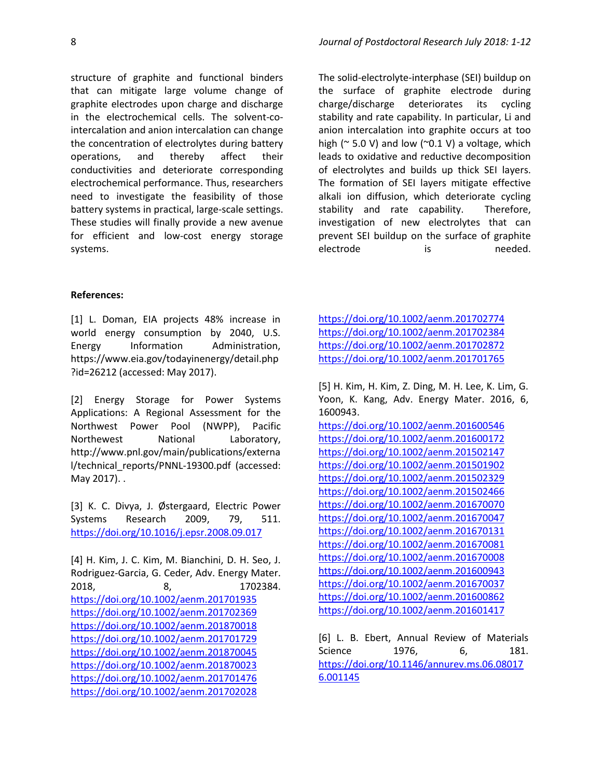structure of graphite and functional binders that can mitigate large volume change of graphite electrodes upon charge and discharge in the electrochemical cells. The solvent-cointercalation and anion intercalation can change the concentration of electrolytes during battery operations, and thereby affect their conductivities and deteriorate corresponding electrochemical performance. Thus, researchers need to investigate the feasibility of those battery systems in practical, large-scale settings. These studies will finally provide a new avenue for efficient and low-cost energy storage systems.

The solid-electrolyte-interphase (SEI) buildup on the surface of graphite electrode during charge/discharge deteriorates its cycling stability and rate capability. In particular, Li and anion intercalation into graphite occurs at too high ( $\approx$  5.0 V) and low ( $\approx$ 0.1 V) a voltage, which leads to oxidative and reductive decomposition of electrolytes and builds up thick SEI layers. The formation of SEI layers mitigate effective alkali ion diffusion, which deteriorate cycling stability and rate capability. Therefore, investigation of new electrolytes that can prevent SEI buildup on the surface of graphite electrode is needed.

### **References:**

[1] L. Doman, EIA projects 48% increase in world energy consumption by 2040, U.S. Energy Information Administration, https://www.eia.gov/todayinenergy/detail.php ?id=26212 (accessed: May 2017).

[2] Energy Storage for Power Systems Applications: A Regional Assessment for the Northwest Power Pool (NWPP), Pacific Northewest National Laboratory, http://www.pnl.gov/main/publications/externa l/technical\_reports/PNNL‐19300.pdf (accessed: May 2017). .

[3] K. C. Divya, J. Østergaard, Electric Power Systems Research 2009, 79, 511. <https://doi.org/10.1016/j.epsr.2008.09.017>

[4] H. Kim, J. C. Kim, M. Bianchini, D. H. Seo, J. Rodriguez‐Garcia, G. Ceder, Adv. Energy Mater. 2018, 8, 1702384. <https://doi.org/10.1002/aenm.201701935> <https://doi.org/10.1002/aenm.201702369> <https://doi.org/10.1002/aenm.201870018> <https://doi.org/10.1002/aenm.201701729> <https://doi.org/10.1002/aenm.201870045> <https://doi.org/10.1002/aenm.201870023> <https://doi.org/10.1002/aenm.201701476> <https://doi.org/10.1002/aenm.201702028>

<https://doi.org/10.1002/aenm.201702774> <https://doi.org/10.1002/aenm.201702384> <https://doi.org/10.1002/aenm.201702872> <https://doi.org/10.1002/aenm.201701765>

[5] H. Kim, H. Kim, Z. Ding, M. H. Lee, K. Lim, G. Yoon, K. Kang, Adv. Energy Mater. 2016, 6, 1600943.

<https://doi.org/10.1002/aenm.201600546> <https://doi.org/10.1002/aenm.201600172> <https://doi.org/10.1002/aenm.201502147> <https://doi.org/10.1002/aenm.201501902> <https://doi.org/10.1002/aenm.201502329> <https://doi.org/10.1002/aenm.201502466> <https://doi.org/10.1002/aenm.201670070> <https://doi.org/10.1002/aenm.201670047> <https://doi.org/10.1002/aenm.201670131> <https://doi.org/10.1002/aenm.201670081> <https://doi.org/10.1002/aenm.201670008> <https://doi.org/10.1002/aenm.201600943> <https://doi.org/10.1002/aenm.201670037> <https://doi.org/10.1002/aenm.201600862> <https://doi.org/10.1002/aenm.201601417>

[6] L. B. Ebert, Annual Review of Materials Science 1976. 6, 181. [https://doi.org/10.1146/annurev.ms.06.08017](https://doi.org/10.1146/annurev.ms.06.080176.001145) [6.001145](https://doi.org/10.1146/annurev.ms.06.080176.001145)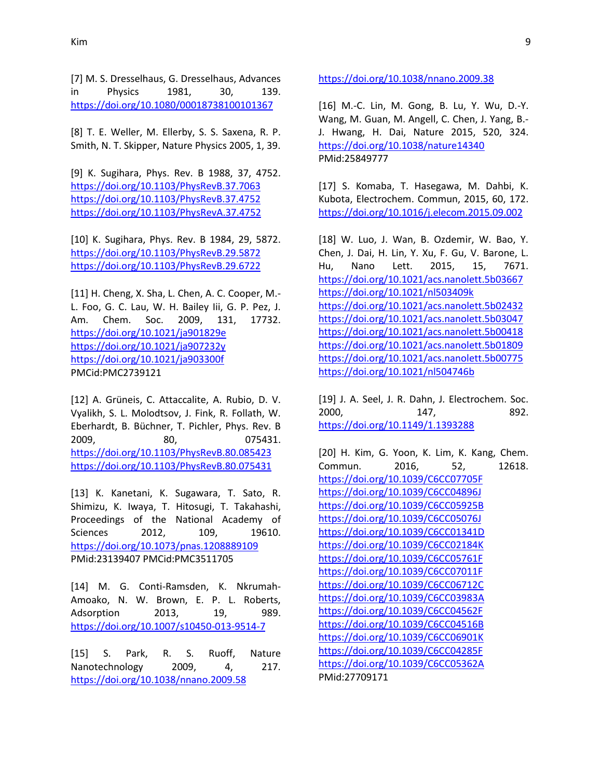[7] M. S. Dresselhaus, G. Dresselhaus, Advances in Physics 1981, 30, 139. <https://doi.org/10.1080/00018738100101367>

[8] T. E. Weller, M. Ellerby, S. S. Saxena, R. P. Smith, N. T. Skipper, Nature Physics 2005, 1, 39.

[9] K. Sugihara, Phys. Rev. B 1988, 37, 4752. <https://doi.org/10.1103/PhysRevB.37.7063> <https://doi.org/10.1103/PhysRevB.37.4752> <https://doi.org/10.1103/PhysRevA.37.4752>

[10] K. Sugihara, Phys. Rev. B 1984, 29, 5872. <https://doi.org/10.1103/PhysRevB.29.5872> <https://doi.org/10.1103/PhysRevB.29.6722>

[11] H. Cheng, X. Sha, L. Chen, A. C. Cooper, M.- L. Foo, G. C. Lau, W. H. Bailey Iii, G. P. Pez, J. Am. Chem. Soc. 2009, 131, 17732. <https://doi.org/10.1021/ja901829e> <https://doi.org/10.1021/ja907232y> <https://doi.org/10.1021/ja903300f> PMCid:PMC2739121

[12] A. Grüneis, C. Attaccalite, A. Rubio, D. V. Vyalikh, S. L. Molodtsov, J. Fink, R. Follath, W. Eberhardt, B. Büchner, T. Pichler, Phys. Rev. B 2009, 80, 075431. <https://doi.org/10.1103/PhysRevB.80.085423> <https://doi.org/10.1103/PhysRevB.80.075431>

[13] K. Kanetani, K. Sugawara, T. Sato, R. Shimizu, K. Iwaya, T. Hitosugi, T. Takahashi, Proceedings of the National Academy of Sciences 2012, 109, 19610. <https://doi.org/10.1073/pnas.1208889109> PMid:23139407 PMCid:PMC3511705

[14] M. G. Conti-Ramsden, K. Nkrumah-Amoako, N. W. Brown, E. P. L. Roberts, Adsorption 2013, 19, 989. <https://doi.org/10.1007/s10450-013-9514-7>

[15] S. Park, R. S. Ruoff, Nature Nanotechnology 2009, 4, 217. <https://doi.org/10.1038/nnano.2009.58>

<https://doi.org/10.1038/nnano.2009.38>

[16] M.-C. Lin, M. Gong, B. Lu, Y. Wu, D.-Y. Wang, M. Guan, M. Angell, C. Chen, J. Yang, B.- J. Hwang, H. Dai, Nature 2015, 520, 324. <https://doi.org/10.1038/nature14340> PMid:25849777

[17] S. Komaba, T. Hasegawa, M. Dahbi, K. Kubota, Electrochem. Commun, 2015, 60, 172. <https://doi.org/10.1016/j.elecom.2015.09.002>

[18] W. Luo, J. Wan, B. Ozdemir, W. Bao, Y. Chen, J. Dai, H. Lin, Y. Xu, F. Gu, V. Barone, L. Hu, Nano Lett. 2015, 15, 7671. <https://doi.org/10.1021/acs.nanolett.5b03667> <https://doi.org/10.1021/nl503409k> <https://doi.org/10.1021/acs.nanolett.5b02432> <https://doi.org/10.1021/acs.nanolett.5b03047> <https://doi.org/10.1021/acs.nanolett.5b00418> <https://doi.org/10.1021/acs.nanolett.5b01809> <https://doi.org/10.1021/acs.nanolett.5b00775> <https://doi.org/10.1021/nl504746b>

[19] J. A. Seel, J. R. Dahn, J. Electrochem. Soc. 2000, 147, 892. <https://doi.org/10.1149/1.1393288>

[20] H. Kim, G. Yoon, K. Lim, K. Kang, Chem. Commun. 2016, 52, 12618. <https://doi.org/10.1039/C6CC07705F> <https://doi.org/10.1039/C6CC04896J> <https://doi.org/10.1039/C6CC05925B> <https://doi.org/10.1039/C6CC05076J> <https://doi.org/10.1039/C6CC01341D> <https://doi.org/10.1039/C6CC02184K> <https://doi.org/10.1039/C6CC05761F> <https://doi.org/10.1039/C6CC07011F> <https://doi.org/10.1039/C6CC06712C> <https://doi.org/10.1039/C6CC03983A> <https://doi.org/10.1039/C6CC04562F> <https://doi.org/10.1039/C6CC04516B> <https://doi.org/10.1039/C6CC06901K> <https://doi.org/10.1039/C6CC04285F> <https://doi.org/10.1039/C6CC05362A> PMid:27709171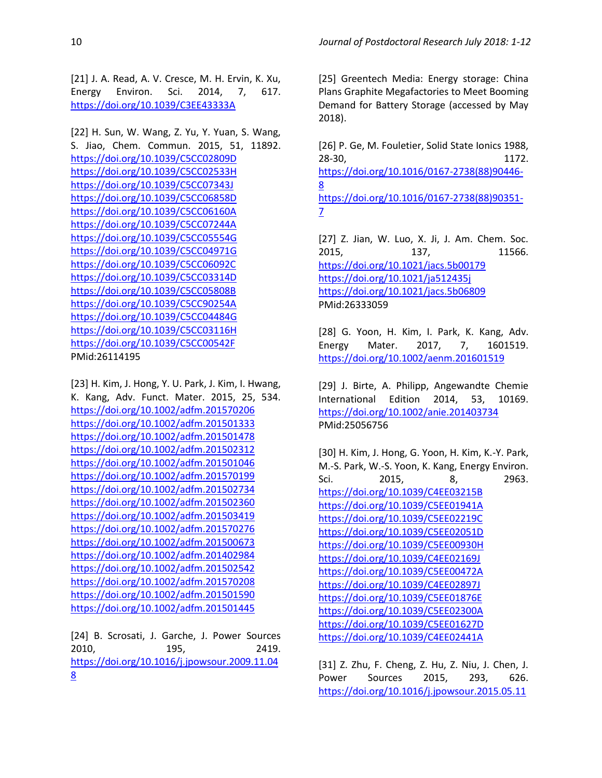[21] J. A. Read, A. V. Cresce, M. H. Ervin, K. Xu, Energy Environ. Sci. 2014, 7, 617. <https://doi.org/10.1039/C3EE43333A>

[22] H. Sun, W. Wang, Z. Yu, Y. Yuan, S. Wang, S. Jiao, Chem. Commun. 2015, 51, 11892. <https://doi.org/10.1039/C5CC02809D> <https://doi.org/10.1039/C5CC02533H> <https://doi.org/10.1039/C5CC07343J> <https://doi.org/10.1039/C5CC06858D> <https://doi.org/10.1039/C5CC06160A> <https://doi.org/10.1039/C5CC07244A> <https://doi.org/10.1039/C5CC05554G> <https://doi.org/10.1039/C5CC04971G> <https://doi.org/10.1039/C5CC06092C> <https://doi.org/10.1039/C5CC03314D> <https://doi.org/10.1039/C5CC05808B> <https://doi.org/10.1039/C5CC90254A> <https://doi.org/10.1039/C5CC04484G> <https://doi.org/10.1039/C5CC03116H> <https://doi.org/10.1039/C5CC00542F> PMid:26114195

[23] H. Kim, J. Hong, Y. U. Park, J. Kim, I. Hwang, K. Kang, Adv. Funct. Mater. 2015, 25, 534. <https://doi.org/10.1002/adfm.201570206> <https://doi.org/10.1002/adfm.201501333> <https://doi.org/10.1002/adfm.201501478> <https://doi.org/10.1002/adfm.201502312> <https://doi.org/10.1002/adfm.201501046> <https://doi.org/10.1002/adfm.201570199> <https://doi.org/10.1002/adfm.201502734> <https://doi.org/10.1002/adfm.201502360> <https://doi.org/10.1002/adfm.201503419> <https://doi.org/10.1002/adfm.201570276> <https://doi.org/10.1002/adfm.201500673> <https://doi.org/10.1002/adfm.201402984> <https://doi.org/10.1002/adfm.201502542> <https://doi.org/10.1002/adfm.201570208> <https://doi.org/10.1002/adfm.201501590> <https://doi.org/10.1002/adfm.201501445>

[24] B. Scrosati, J. Garche, J. Power Sources 2010, 195, 2419. [https://doi.org/10.1016/j.jpowsour.2009.11.04](https://doi.org/10.1016/j.jpowsour.2009.11.048) [8](https://doi.org/10.1016/j.jpowsour.2009.11.048)

[25] Greentech Media: Energy storage: China Plans Graphite Megafactories to Meet Booming Demand for Battery Storage (accessed by May 2018).

[26] P. Ge, M. Fouletier, Solid State Ionics 1988, 28-30, 1172. [https://doi.org/10.1016/0167-2738\(88\)90446-](https://doi.org/10.1016/0167-2738(88)90446-8) [8](https://doi.org/10.1016/0167-2738(88)90446-8) [https://doi.org/10.1016/0167-2738\(88\)90351-](https://doi.org/10.1016/0167-2738(88)90351-7) [7](https://doi.org/10.1016/0167-2738(88)90351-7)

[27] Z. Jian, W. Luo, X. Ji, J. Am. Chem. Soc. 2015, 137, 11566. <https://doi.org/10.1021/jacs.5b00179> <https://doi.org/10.1021/ja512435j> <https://doi.org/10.1021/jacs.5b06809> PMid:26333059

[28] G. Yoon, H. Kim, I. Park, K. Kang, Adv. Energy Mater. 2017, 7, 1601519. <https://doi.org/10.1002/aenm.201601519>

[29] J. Birte, A. Philipp, Angewandte Chemie International Edition 2014, 53, 10169. <https://doi.org/10.1002/anie.201403734> PMid:25056756

[30] H. Kim, J. Hong, G. Yoon, H. Kim, K.-Y. Park, M.-S. Park, W.-S. Yoon, K. Kang, Energy Environ. Sci. 2015, 8, 2963. <https://doi.org/10.1039/C4EE03215B> <https://doi.org/10.1039/C5EE01941A> <https://doi.org/10.1039/C5EE02219C> <https://doi.org/10.1039/C5EE02051D> <https://doi.org/10.1039/C5EE00930H> <https://doi.org/10.1039/C4EE02169J> <https://doi.org/10.1039/C5EE00472A> <https://doi.org/10.1039/C4EE02897J> <https://doi.org/10.1039/C5EE01876E> <https://doi.org/10.1039/C5EE02300A> <https://doi.org/10.1039/C5EE01627D> <https://doi.org/10.1039/C4EE02441A>

[31] Z. Zhu, F. Cheng, Z. Hu, Z. Niu, J. Chen, J. Power Sources 2015, 293, 626. [https://doi.org/10.1016/j.jpowsour.2015.05.11](https://doi.org/10.1016/j.jpowsour.2015.05.116)